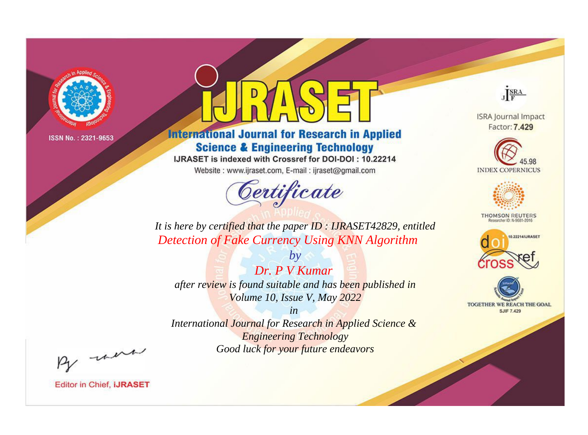

# **International Journal for Research in Applied Science & Engineering Technology**

IJRASET is indexed with Crossref for DOI-DOI: 10.22214

Website: www.ijraset.com, E-mail: ijraset@gmail.com



JERA

**ISRA Journal Impact** Factor: 7.429





**THOMSON REUTERS** 



TOGETHER WE REACH THE GOAL **SJIF 7.429** 

*It is here by certified that the paper ID : IJRASET42829, entitled Detection of Fake Currency Using KNN Algorithm*

*Dr. P V Kumar after review is found suitable and has been published in Volume 10, Issue V, May 2022*

*by*

*in* 

*International Journal for Research in Applied Science & Engineering Technology Good luck for your future endeavors*

By morn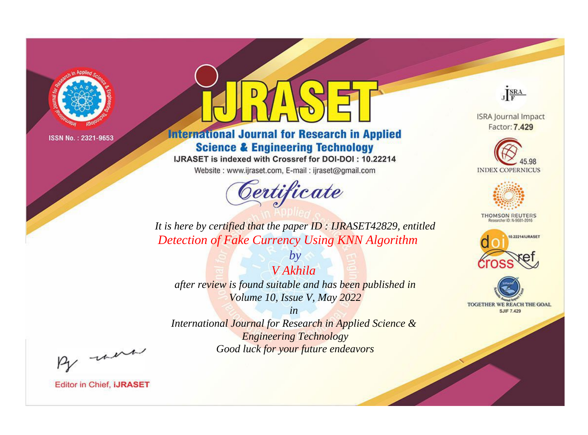

# **International Journal for Research in Applied Science & Engineering Technology**

IJRASET is indexed with Crossref for DOI-DOI: 10.22214

Website: www.ijraset.com, E-mail: ijraset@gmail.com



JERA

**ISRA Journal Impact** Factor: 7.429





**THOMSON REUTERS** 



TOGETHER WE REACH THE GOAL **SJIF 7.429** 

*It is here by certified that the paper ID : IJRASET42829, entitled Detection of Fake Currency Using KNN Algorithm*

*V Akhila after review is found suitable and has been published in Volume 10, Issue V, May 2022*

*by*

*in* 

*International Journal for Research in Applied Science & Engineering Technology Good luck for your future endeavors*

By morn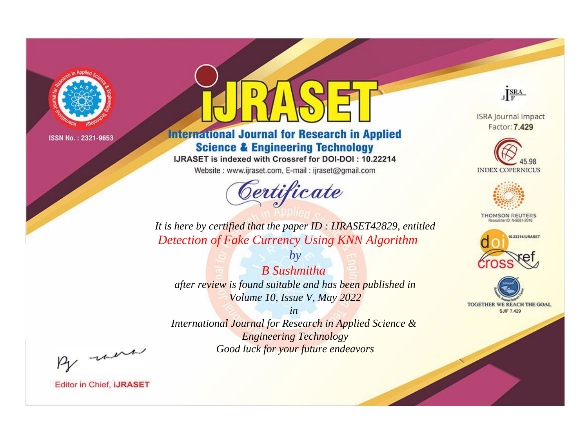

# **International Journal for Research in Applied Science & Engineering Technology**

IJRASET is indexed with Crossref for DOI-DOI: 10.22214

Website: www.ijraset.com, E-mail: ijraset@gmail.com



JERA

**ISRA Journal Impact** Factor: 7.429





**THOMSON REUTERS** 



TOGETHER WE REACH THE GOAL **SJIF 7.429** 

*It is here by certified that the paper ID : IJRASET42829, entitled Detection of Fake Currency Using KNN Algorithm*

*B Sushmitha after review is found suitable and has been published in Volume 10, Issue V, May 2022*

*by*

*in* 

*International Journal for Research in Applied Science & Engineering Technology Good luck for your future endeavors*

By morn